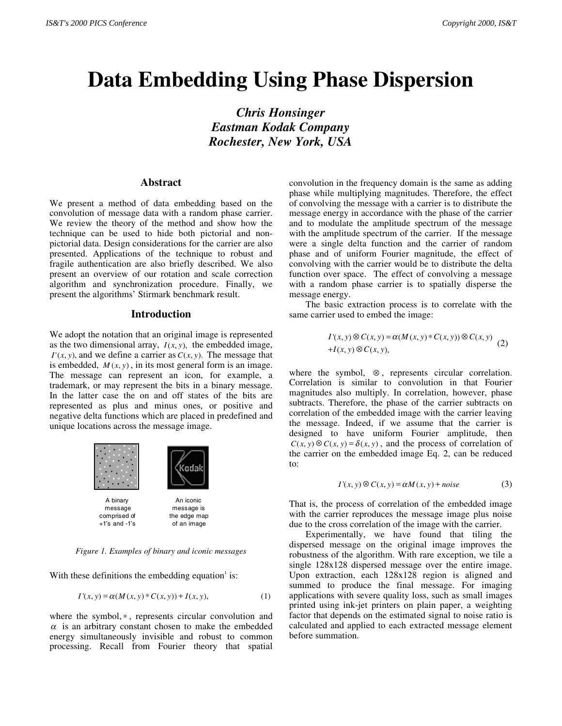# **Data Embedding Using Phase Dispersion**

*Chris Honsinger Eastman Kodak Company Rochester, New York, USA*

# **Abstract**

We present a method of data embedding based on the convolution of message data with a random phase carrier. We review the theory of the method and show how the technique can be used to hide both pictorial and nonpictorial data. Design considerations for the carrier are also presented. Applications of the technique to robust and fragile authentication are also briefly described. We also present an overview of our rotation and scale correction algorithm and synchronization procedure. Finally, we present the algorithms' Stirmark benchmark result.

#### **Introduction**

We adopt the notation that an original image is represented as the two dimensional array,  $I(x, y)$ , the embedded image,  $I'(x, y)$ , and we define a carrier as  $C(x, y)$ . The message that is embedded,  $M(x, y)$ , in its most general form is an image. The message can represent an icon, for example, a trademark, or may represent the bits in a binary message. In the latter case the on and off states of the bits are represented as plus and minus ones, or positive and negative delta functions which are placed in predefined and unique locations across the message image.



*Figure 1. Examples of binary and iconic messages*

With these definitions the embedding equation  $\mathrm{i}$  is:

$$
I'(x, y) = \alpha(M(x, y) * C(x, y)) + I(x, y),
$$
 (1)

where the symbol,  $*$ , represents circular convolution and  $\alpha$  is an arbitrary constant chosen to make the embedded energy simultaneously invisible and robust to common processing. Recall from Fourier theory that spatial convolution in the frequency domain is the same as adding phase while multiplying magnitudes. Therefore, the effect of convolving the message with a carrier is to distribute the message energy in accordance with the phase of the carrier and to modulate the amplitude spectrum of the message with the amplitude spectrum of the carrier. If the message were a single delta function and the carrier of random phase and of uniform Fourier magnitude, the effect of convolving with the carrier would be to distribute the delta function over space. The effect of convolving a message with a random phase carrier is to spatially disperse the message energy.

The basic extraction process is to correlate with the same carrier used to embed the image:

$$
I'(x, y) \otimes C(x, y) = \alpha(M(x, y) * C(x, y)) \otimes C(x, y)
$$
  
+
$$
I(x, y) \otimes C(x, y),
$$
 (2)

where the symbol, ⊗ , represents circular correlation. Correlation is similar to convolution in that Fourier magnitudes also multiply. In correlation, however, phase subtracts. Therefore, the phase of the carrier subtracts on correlation of the embedded image with the carrier leaving the message. Indeed, if we assume that the carrier is designed to have uniform Fourier amplitude, then  $C(x, y) \otimes C(x, y) = \delta(x, y)$ , and the process of correlation of the carrier on the embedded image Eq. 2, can be reduced to:

$$
I'(x, y) \otimes C(x, y) = \alpha M(x, y) + noise
$$
 (3)

That is, the process of correlation of the embedded image with the carrier reproduces the message image plus noise due to the cross correlation of the image with the carrier.

Experimentally, we have found that tiling the dispersed message on the original image improves the robustness of the algorithm. With rare exception, we tile a single 128x128 dispersed message over the entire image. Upon extraction, each 128x128 region is aligned and summed to produce the final message. For imaging applications with severe quality loss, such as small images printed using ink-jet printers on plain paper, a weighting factor that depends on the estimated signal to noise ratio is calculated and applied to each extracted message element before summation.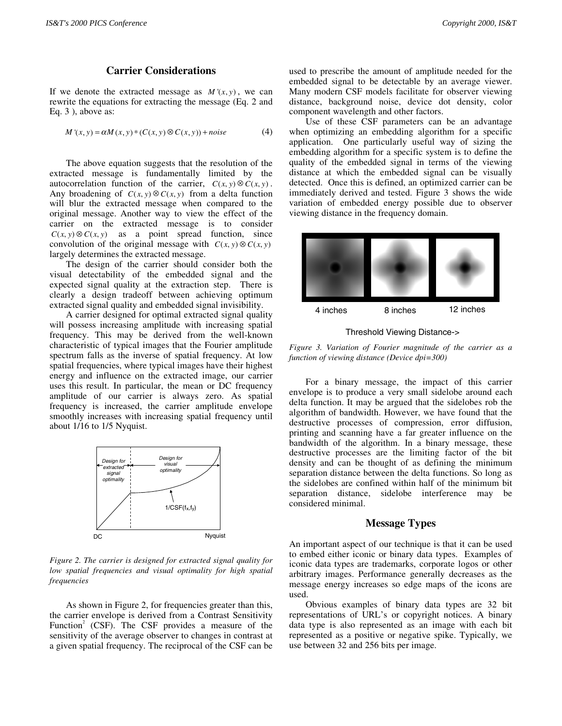# **Carrier Considerations**

If we denote the extracted message as  $M'(x, y)$ , we can rewrite the equations for extracting the message (Eq. 2 and Eq. 3 ), above as:

$$
M'(x, y) = \alpha M(x, y) * (C(x, y) \otimes C(x, y)) + noise
$$
 (4)

The above equation suggests that the resolution of the extracted message is fundamentally limited by the autocorrelation function of the carrier,  $C(x, y) \otimes C(x, y)$ . Any broadening of  $C(x, y) \otimes C(x, y)$  from a delta function will blur the extracted message when compared to the original message. Another way to view the effect of the carrier on the extracted message is to consider  $C(x, y) \otimes C(x, y)$  as a point spread function, since convolution of the original message with  $C(x, y) \otimes C(x, y)$ largely determines the extracted message.

The design of the carrier should consider both the visual detectability of the embedded signal and the expected signal quality at the extraction step. There is clearly a design tradeoff between achieving optimum extracted signal quality and embedded signal invisibility.

A carrier designed for optimal extracted signal quality will possess increasing amplitude with increasing spatial frequency. This may be derived from the well-known characteristic of typical images that the Fourier amplitude spectrum falls as the inverse of spatial frequency. At low spatial frequencies, where typical images have their highest energy and influence on the extracted image, our carrier uses this result. In particular, the mean or DC frequency amplitude of our carrier is always zero. As spatial frequency is increased, the carrier amplitude envelope smoothly increases with increasing spatial frequency until about 1/16 to 1/5 Nyquist.



*Figure 2. The carrier is designed for extracted signal quality for low spatial frequencies and visual optimality for high spatial frequencies*

As shown in Figure 2, for frequencies greater than this, the carrier envelope is derived from a Contrast Sensitivity Function<sup>2</sup> (CSF). The CSF provides a measure of the sensitivity of the average observer to changes in contrast at a given spatial frequency. The reciprocal of the CSF can be

used to prescribe the amount of amplitude needed for the embedded signal to be detectable by an average viewer. Many modern CSF models facilitate for observer viewing distance, background noise, device dot density, color component wavelength and other factors.

Use of these CSF parameters can be an advantage when optimizing an embedding algorithm for a specific application. One particularly useful way of sizing the embedding algorithm for a specific system is to define the quality of the embedded signal in terms of the viewing distance at which the embedded signal can be visually detected. Once this is defined, an optimized carrier can be immediately derived and tested. Figure 3 shows the wide variation of embedded energy possible due to observer viewing distance in the frequency domain.



Threshold Viewing Distance->

*Figure 3. Variation of Fourier magnitude of the carrier as a function of viewing distance (Device dpi=300)*

For a binary message, the impact of this carrier envelope is to produce a very small sidelobe around each delta function. It may be argued that the sidelobes rob the algorithm of bandwidth. However, we have found that the destructive processes of compression, error diffusion, printing and scanning have a far greater influence on the bandwidth of the algorithm. In a binary message, these destructive processes are the limiting factor of the bit density and can be thought of as defining the minimum separation distance between the delta functions. So long as the sidelobes are confined within half of the minimum bit separation distance, sidelobe interference may be considered minimal.

# **Message Types**

An important aspect of our technique is that it can be used to embed either iconic or binary data types. Examples of iconic data types are trademarks, corporate logos or other arbitrary images. Performance generally decreases as the message energy increases so edge maps of the icons are used.

Obvious examples of binary data types are 32 bit representations of URL's or copyright notices. A binary data type is also represented as an image with each bit represented as a positive or negative spike. Typically, we use between 32 and 256 bits per image.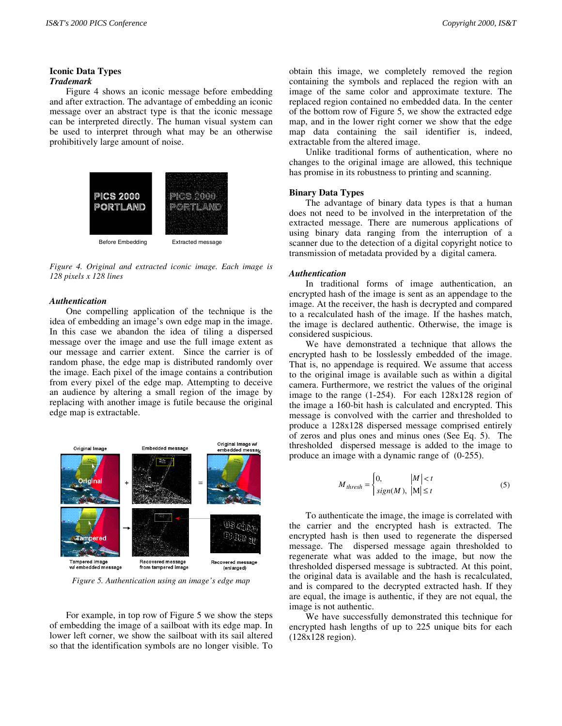#### **Iconic Data Types** *Trademark*

Figure 4 shows an iconic message before embedding and after extraction. The advantage of embedding an iconic message over an abstract type is that the iconic message can be interpreted directly. The human visual system can be used to interpret through what may be an otherwise prohibitively large amount of noise.



*Figure 4. Original and extracted iconic image. Each image is 128 pixels x 128 lines*

#### *Authentication*

One compelling application of the technique is the idea of embedding an image's own edge map in the image. In this case we abandon the idea of tiling a dispersed message over the image and use the full image extent as our message and carrier extent. Since the carrier is of random phase, the edge map is distributed randomly over the image. Each pixel of the image contains a contribution from every pixel of the edge map. Attempting to deceive an audience by altering a small region of the image by replacing with another image is futile because the original edge map is extractable.



*Figure 5. Authentication using an image's edge map*

For example, in top row of Figure 5 we show the steps of embedding the image of a sailboat with its edge map. In lower left corner, we show the sailboat with its sail altered so that the identification symbols are no longer visible. To obtain this image, we completely removed the region containing the symbols and replaced the region with an image of the same color and approximate texture. The replaced region contained no embedded data. In the center of the bottom row of Figure 5, we show the extracted edge map, and in the lower right corner we show that the edge map data containing the sail identifier is, indeed, extractable from the altered image.

Unlike traditional forms of authentication, where no changes to the original image are allowed, this technique has promise in its robustness to printing and scanning.

#### **Binary Data Types**

The advantage of binary data types is that a human does not need to be involved in the interpretation of the extracted message. There are numerous applications of using binary data ranging from the interruption of a scanner due to the detection of a digital copyright notice to transmission of metadata provided by a digital camera.

#### *Authentication*

In traditional forms of image authentication, an encrypted hash of the image is sent as an appendage to the image. At the receiver, the hash is decrypted and compared to a recalculated hash of the image. If the hashes match, the image is declared authentic. Otherwise, the image is considered suspicious.

We have demonstrated a technique that allows the encrypted hash to be losslessly embedded of the image. That is, no appendage is required. We assume that access to the original image is available such as within a digital camera. Furthermore, we restrict the values of the original image to the range (1-254). For each 128x128 region of the image a 160-bit hash is calculated and encrypted. This message is convolved with the carrier and thresholded to produce a 128x128 dispersed message comprised entirely of zeros and plus ones and minus ones (See Eq. 5). The thresholded dispersed message is added to the image to produce an image with a dynamic range of (0-255).

$$
M_{thresh} = \begin{cases} 0, & |M| < t \\ sign(M), & |M| \le t \end{cases}
$$
 (5)

To authenticate the image, the image is correlated with the carrier and the encrypted hash is extracted. The encrypted hash is then used to regenerate the dispersed message. The dispersed message again thresholded to regenerate what was added to the image, but now the thresholded dispersed message is subtracted. At this point, the original data is available and the hash is recalculated, and is compared to the decrypted extracted hash. If they are equal, the image is authentic, if they are not equal, the image is not authentic.

We have successfully demonstrated this technique for encrypted hash lengths of up to 225 unique bits for each (128x128 region).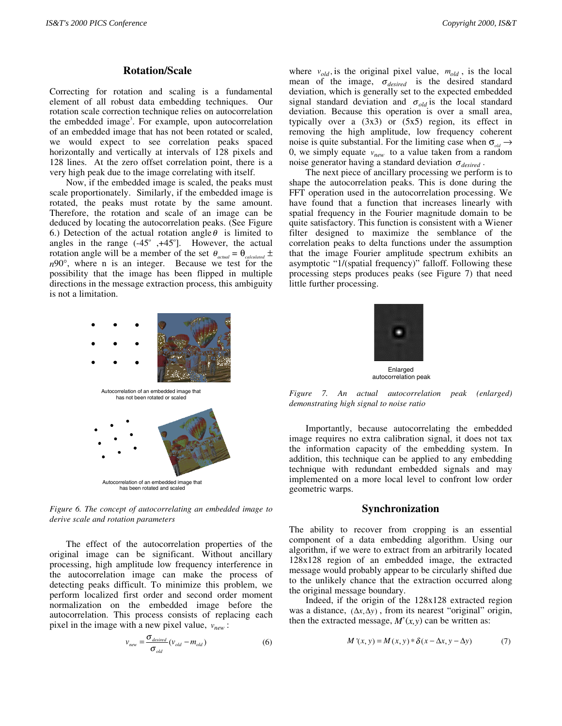# **Rotation/Scale**

Correcting for rotation and scaling is a fundamental element of all robust data embedding techniques. Our rotation scale correction technique relies on autocorrelation the embedded image<sup>3</sup>. For example, upon autocorrelation of an embedded image that has not been rotated or scaled, we would expect to see correlation peaks spaced horizontally and vertically at intervals of 128 pixels and 128 lines. At the zero offset correlation point, there is a very high peak due to the image correlating with itself.

Now, if the embedded image is scaled, the peaks must scale proportionately. Similarly, if the embedded image is rotated, the peaks must rotate by the same amount. Therefore, the rotation and scale of an image can be deduced by locating the autocorrelation peaks. (See Figure 6.) Detection of the actual rotation angle  $\theta$  is limited to angles in the range  $(-45^\circ, +45^\circ]$ . However, the actual rotation angle will be a member of the set  $\theta_{actual} = \theta_{calculated} \pm$ *n*90°, where n is an integer. Because we test for the possibility that the image has been flipped in multiple directions in the message extraction process, this ambiguity is not a limitation.



*Figure 6. The concept of autocorrelating an embedded image to derive scale and rotation parameters*

The effect of the autocorrelation properties of the original image can be significant. Without ancillary processing, high amplitude low frequency interference in the autocorrelation image can make the process of detecting peaks difficult. To minimize this problem, we perform localized first order and second order moment normalization on the embedded image before the autocorrelation. This process consists of replacing each pixel in the image with a new pixel value,  $v_{new}$ :

$$
v_{new} = \frac{\sigma_{desired}}{\sigma_{old}} (v_{old} - m_{old})
$$
 (6)

where  $v_{old}$ , is the original pixel value,  $m_{old}$ , is the local mean of the image,  $\sigma_{desired}$  is the desired standard deviation, which is generally set to the expected embedded signal standard deviation and  $\sigma_{old}$  is the local standard deviation. Because this operation is over a small area, typically over a  $(3x3)$  or  $(5x5)$  region, its effect in removing the high amplitude, low frequency coherent noise is quite substantial. For the limiting case when  $\sigma_{dd} \rightarrow$ 0, we simply equate  $v_{new}$  to a value taken from a random noise generator having a standard deviation  $\sigma_{desired}$ .

The next piece of ancillary processing we perform is to shape the autocorrelation peaks. This is done during the FFT operation used in the autocorrelation processing. We have found that a function that increases linearly with spatial frequency in the Fourier magnitude domain to be quite satisfactory. This function is consistent with a Wiener filter designed to maximize the semblance of the correlation peaks to delta functions under the assumption that the image Fourier amplitude spectrum exhibits an asymptotic "1/(spatial frequency)" falloff. Following these processing steps produces peaks (see Figure 7) that need little further processing.



*Figure 7. An actual autocorrelation peak (enlarged) demonstrating high signal to noise ratio*

Importantly, because autocorrelating the embedded image requires no extra calibration signal, it does not tax the information capacity of the embedding system. In addition, this technique can be applied to any embedding technique with redundant embedded signals and may implemented on a more local level to confront low order geometric warps.

# **Synchronization**

The ability to recover from cropping is an essential component of a data embedding algorithm. Using our algorithm, if we were to extract from an arbitrarily located 128x128 region of an embedded image, the extracted message would probably appear to be circularly shifted due to the unlikely chance that the extraction occurred along the original message boundary.

Indeed, if the origin of the 128x128 extracted region was a distance,  $(\Delta x, \Delta y)$ , from its nearest "original" origin, then the extracted message,  $M'(x, y)$  can be written as:

$$
M'(x, y) = M(x, y) * \delta(x - \Delta x, y - \Delta y)
$$
 (7)